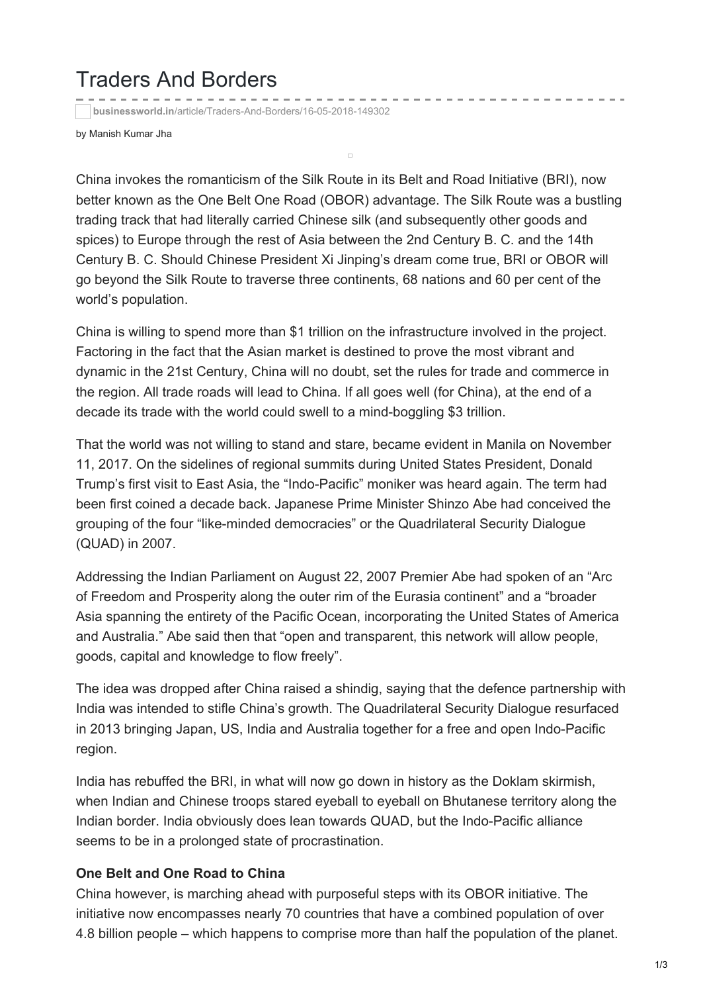## Traders And Borders

**businessworld.in**[/article/Traders-And-Borders/16-05-2018-149302](http://businessworld.in/article/Traders-And-Borders/16-05-2018-149302/)

by Manish Kumar Jha

China invokes the romanticism of the Silk Route in its Belt and Road Initiative (BRI), now better known as the One Belt One Road (OBOR) advantage. The Silk Route was a bustling trading track that had literally carried Chinese silk (and subsequently other goods and spices) to Europe through the rest of Asia between the 2nd Century B. C. and the 14th Century B. C. Should Chinese President Xi Jinping's dream come true, BRI or OBOR will go beyond the Silk Route to traverse three continents, 68 nations and 60 per cent of the world's population.

 $\overline{\phantom{a}}$ 

China is willing to spend more than \$1 trillion on the infrastructure involved in the project. Factoring in the fact that the Asian market is destined to prove the most vibrant and dynamic in the 21st Century, China will no doubt, set the rules for trade and commerce in the region. All trade roads will lead to China. If all goes well (for China), at the end of a decade its trade with the world could swell to a mind-boggling \$3 trillion.

That the world was not willing to stand and stare, became evident in Manila on November 11, 2017. On the sidelines of regional summits during United States President, Donald Trump's first visit to East Asia, the "Indo-Pacific" moniker was heard again. The term had been first coined a decade back. Japanese Prime Minister Shinzo Abe had conceived the grouping of the four "like-minded democracies" or the Quadrilateral Security Dialogue (QUAD) in 2007.

Addressing the Indian Parliament on August 22, 2007 Premier Abe had spoken of an "Arc of Freedom and Prosperity along the outer rim of the Eurasia continent" and a "broader Asia spanning the entirety of the Pacific Ocean, incorporating the United States of America and Australia." Abe said then that "open and transparent, this network will allow people, goods, capital and knowledge to flow freely".

The idea was dropped after China raised a shindig, saying that the defence partnership with India was intended to stifle China's growth. The Quadrilateral Security Dialogue resurfaced in 2013 bringing Japan, US, India and Australia together for a free and open Indo-Pacific region.

India has rebuffed the BRI, in what will now go down in history as the Doklam skirmish, when Indian and Chinese troops stared eyeball to eyeball on Bhutanese territory along the Indian border. India obviously does lean towards QUAD, but the Indo-Pacific alliance seems to be in a prolonged state of procrastination.

## **One Belt and One Road to China**

China however, is marching ahead with purposeful steps with its OBOR initiative. The initiative now encompasses nearly 70 countries that have a combined population of over 4.8 billion people – which happens to comprise more than half the population of the planet.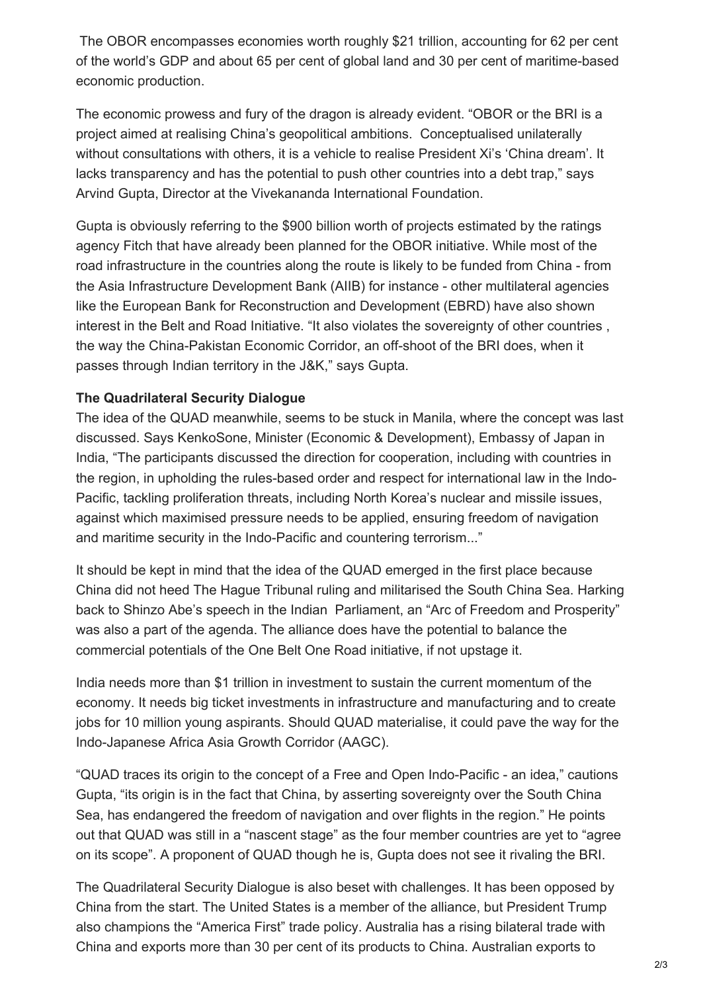The OBOR encompasses economies worth roughly \$21 trillion, accounting for 62 per cent of the world's GDP and about 65 per cent of global land and 30 per cent of maritime-based economic production.

The economic prowess and fury of the dragon is already evident. "OBOR or the BRI is a project aimed at realising China's geopolitical ambitions. Conceptualised unilaterally without consultations with others, it is a vehicle to realise President Xi's 'China dream'. It lacks transparency and has the potential to push other countries into a debt trap," says Arvind Gupta, Director at the Vivekananda International Foundation.

Gupta is obviously referring to the \$900 billion worth of projects estimated by the ratings agency Fitch that have already been planned for the OBOR initiative. While most of the road infrastructure in the countries along the route is likely to be funded from China - from the Asia Infrastructure Development Bank (AIIB) for instance - other multilateral agencies like the European Bank for Reconstruction and Development (EBRD) have also shown interest in the Belt and Road Initiative. "It also violates the sovereignty of other countries , the way the China-Pakistan Economic Corridor, an off-shoot of the BRI does, when it passes through Indian territory in the J&K," says Gupta.

## **The Quadrilateral Security Dialogue**

The idea of the QUAD meanwhile, seems to be stuck in Manila, where the concept was last discussed. Says KenkoSone, Minister (Economic & Development), Embassy of Japan in India, "The participants discussed the direction for cooperation, including with countries in the region, in upholding the rules-based order and respect for international law in the Indo-Pacific, tackling proliferation threats, including North Korea's nuclear and missile issues, against which maximised pressure needs to be applied, ensuring freedom of navigation and maritime security in the Indo-Pacific and countering terrorism..."

It should be kept in mind that the idea of the QUAD emerged in the first place because China did not heed The Hague Tribunal ruling and militarised the South China Sea. Harking back to Shinzo Abe's speech in the Indian Parliament, an "Arc of Freedom and Prosperity" was also a part of the agenda. The alliance does have the potential to balance the commercial potentials of the One Belt One Road initiative, if not upstage it.

India needs more than \$1 trillion in investment to sustain the current momentum of the economy. It needs big ticket investments in infrastructure and manufacturing and to create jobs for 10 million young aspirants. Should QUAD materialise, it could pave the way for the Indo-Japanese Africa Asia Growth Corridor (AAGC).

"QUAD traces its origin to the concept of a Free and Open Indo-Pacific - an idea," cautions Gupta, "its origin is in the fact that China, by asserting sovereignty over the South China Sea, has endangered the freedom of navigation and over flights in the region." He points out that QUAD was still in a "nascent stage" as the four member countries are yet to "agree on its scope". A proponent of QUAD though he is, Gupta does not see it rivaling the BRI.

The Quadrilateral Security Dialogue is also beset with challenges. It has been opposed by China from the start. The United States is a member of the alliance, but President Trump also champions the "America First" trade policy. Australia has a rising bilateral trade with China and exports more than 30 per cent of its products to China. Australian exports to